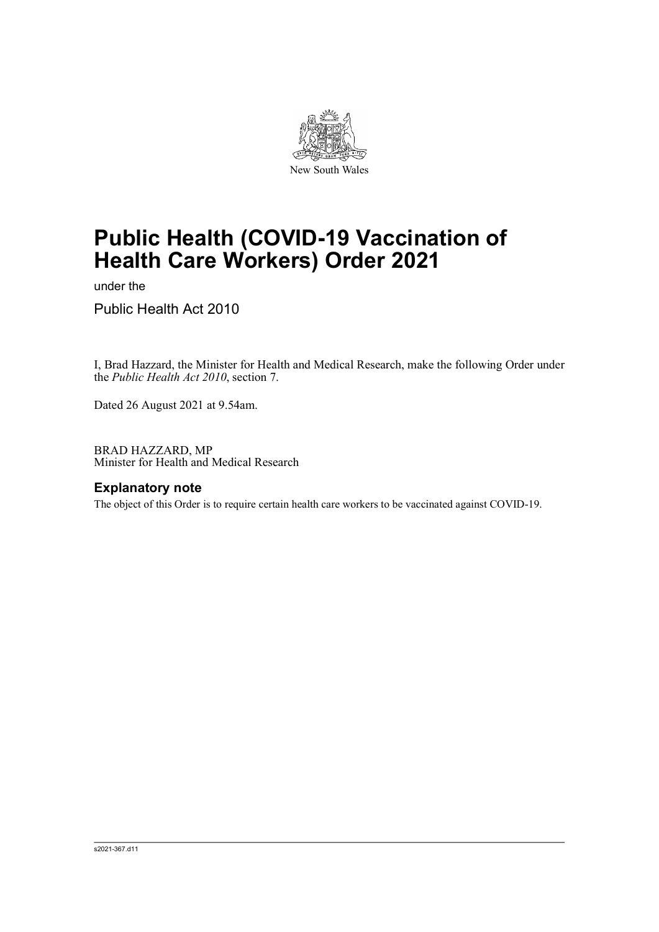

# **Public Health (COVID-19 Vaccination of Health Care Workers) Order 2021**

under the

Public Health Act 2010

I, Brad Hazzard, the Minister for Health and Medical Research, make the following Order under the *Public Health Act 2010*, section 7.

Dated 26 August 2021 at 9.54am.

BRAD HAZZARD, MP Minister for Health and Medical Research

#### **Explanatory note**

The object of this Order is to require certain health care workers to be vaccinated against COVID-19.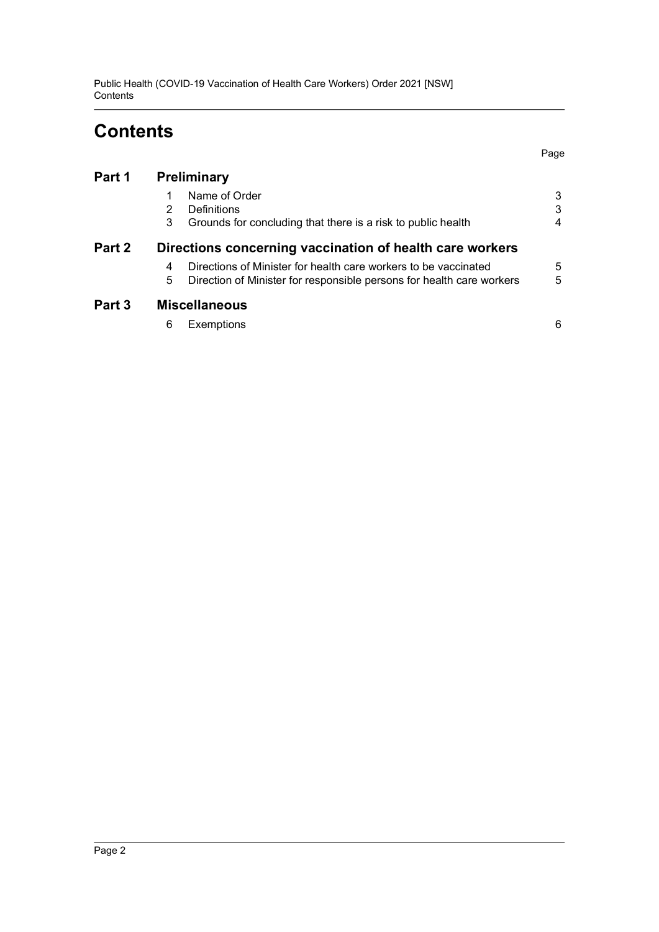Public Health (COVID-19 Vaccination of Health Care Workers) Order 2021 [NSW] **Contents** 

## **Contents**

| Part 1 | Preliminary                                                                                                                                        |        |
|--------|----------------------------------------------------------------------------------------------------------------------------------------------------|--------|
|        | Name of Order<br>Definitions<br>2                                                                                                                  | 3<br>3 |
|        | Grounds for concluding that there is a risk to public health<br>3                                                                                  | 4      |
| Part 2 | Directions concerning vaccination of health care workers                                                                                           |        |
|        | Directions of Minister for health care workers to be vaccinated<br>4<br>5<br>Direction of Minister for responsible persons for health care workers | 5<br>5 |
| Part 3 | <b>Miscellaneous</b>                                                                                                                               |        |
|        | Exemptions<br>6                                                                                                                                    | 6      |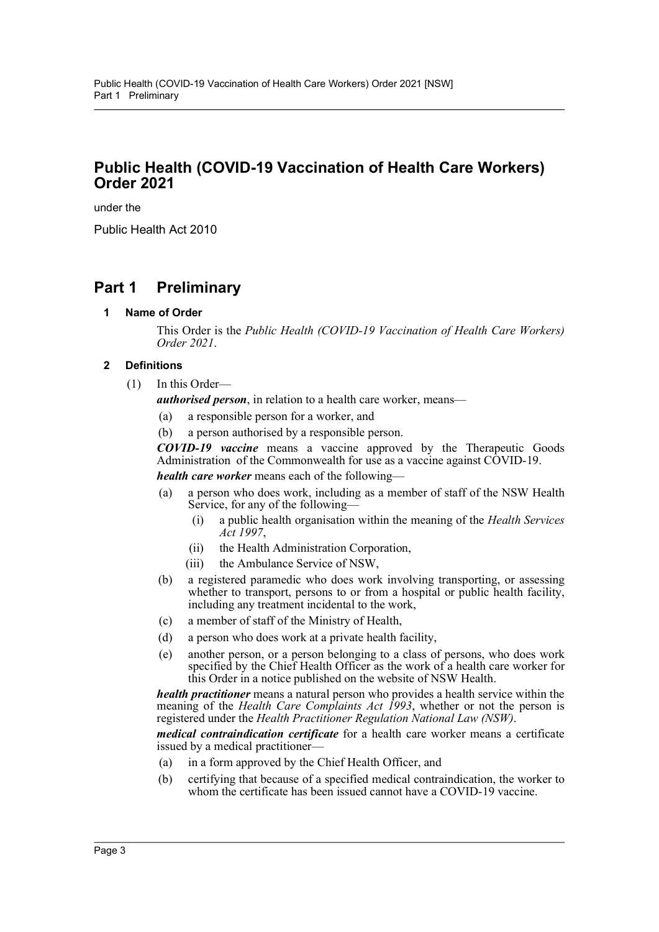## **Public Health (COVID-19 Vaccination of Health Care Workers) Order 2021**

under the

Public Health Act 2010

## <span id="page-2-1"></span><span id="page-2-0"></span>**Part 1 Preliminary**

**1 Name of Order**

This Order is the *Public Health (COVID-19 Vaccination of Health Care Workers) Order 2021*.

#### <span id="page-2-2"></span>**2 Definitions**

(1) In this Order—

*authorised person*, in relation to a health care worker, means—

- (a) a responsible person for a worker, and
- (b) a person authorised by a responsible person.

*COVID-19 vaccine* means a vaccine approved by the Therapeutic Goods Administration of the Commonwealth for use as a vaccine against COVID-19. *health care worker* means each of the following—

- (a) a person who does work, including as a member of staff of the NSW Health Service, for any of the following—
	- (i) a public health organisation within the meaning of the *Health Services Act 1997*,
	- (ii) the Health Administration Corporation,
	- (iii) the Ambulance Service of NSW,
- (b) a registered paramedic who does work involving transporting, or assessing whether to transport, persons to or from a hospital or public health facility, including any treatment incidental to the work,
- (c) a member of staff of the Ministry of Health,
- (d) a person who does work at a private health facility,
- (e) another person, or a person belonging to a class of persons, who does work specified by the Chief Health Officer as the work of a health care worker for this Order in a notice published on the website of NSW Health.

*health practitioner* means a natural person who provides a health service within the meaning of the *Health Care Complaints Act 1993*, whether or not the person is registered under the *Health Practitioner Regulation National Law (NSW)*.

*medical contraindication certificate* for a health care worker means a certificate issued by a medical practitioner-

- (a) in a form approved by the Chief Health Officer, and
- (b) certifying that because of a specified medical contraindication, the worker to whom the certificate has been issued cannot have a COVID-19 vaccine.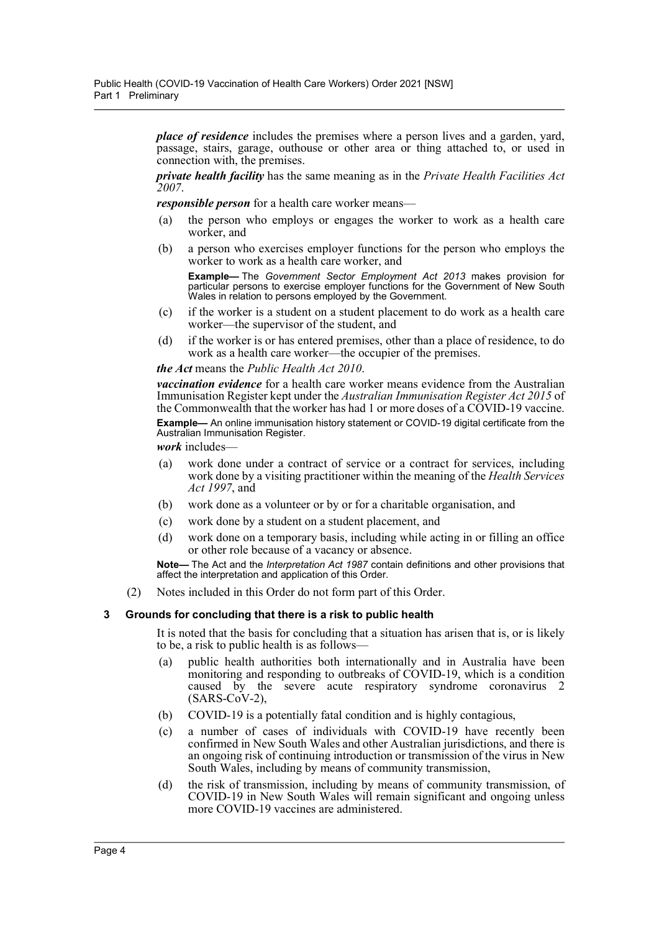*place of residence* includes the premises where a person lives and a garden, yard, passage, stairs, garage, outhouse or other area or thing attached to, or used in connection with, the premises.

*private health facility* has the same meaning as in the *Private Health Facilities Act 2007*.

*responsible person* for a health care worker means—

- (a) the person who employs or engages the worker to work as a health care worker, and
- (b) a person who exercises employer functions for the person who employs the worker to work as a health care worker, and

**Example—** The *Government Sector Employment Act 2013* makes provision for particular persons to exercise employer functions for the Government of New South Wales in relation to persons employed by the Government.

- (c) if the worker is a student on a student placement to do work as a health care worker—the supervisor of the student, and
- (d) if the worker is or has entered premises, other than a place of residence, to do work as a health care worker—the occupier of the premises.

*the Act* means the *Public Health Act 2010*.

*vaccination evidence* for a health care worker means evidence from the Australian Immunisation Register kept under the *Australian Immunisation Register Act 2015* of the Commonwealth that the worker has had 1 or more doses of a COVID-19 vaccine. **Example—** An online immunisation history statement or COVID-19 digital certificate from the Australian Immunisation Register.

*work* includes-

- (a) work done under a contract of service or a contract for services, including work done by a visiting practitioner within the meaning of the *Health Services Act 1997*, and
- (b) work done as a volunteer or by or for a charitable organisation, and
- (c) work done by a student on a student placement, and
- (d) work done on a temporary basis, including while acting in or filling an office or other role because of a vacancy or absence.

**Note—** The Act and the *Interpretation Act 1987* contain definitions and other provisions that affect the interpretation and application of this Order.

(2) Notes included in this Order do not form part of this Order.

#### <span id="page-3-0"></span>**3 Grounds for concluding that there is a risk to public health**

It is noted that the basis for concluding that a situation has arisen that is, or is likely to be, a risk to public health is as follows—

- (a) public health authorities both internationally and in Australia have been monitoring and responding to outbreaks of COVID-19, which is a condition caused by the severe acute respiratory syndrome coronavirus 2  $(SARS-CoV-2)$ ,
- (b) COVID-19 is a potentially fatal condition and is highly contagious,
- (c) a number of cases of individuals with COVID-19 have recently been confirmed in New South Wales and other Australian jurisdictions, and there is an ongoing risk of continuing introduction or transmission of the virus in New South Wales, including by means of community transmission,
- (d) the risk of transmission, including by means of community transmission, of COVID-19 in New South Wales will remain significant and ongoing unless more COVID-19 vaccines are administered.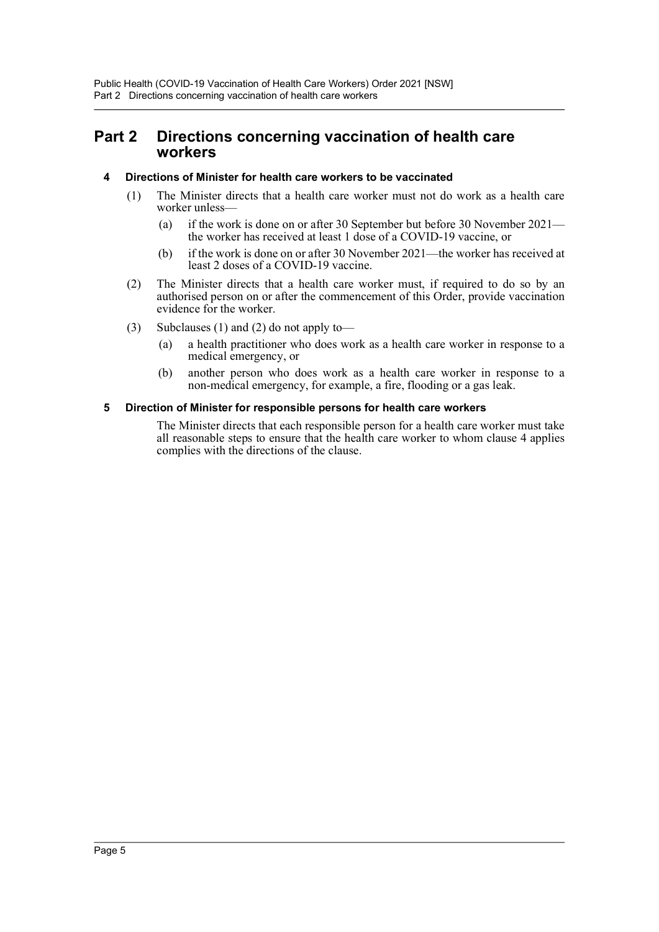### <span id="page-4-0"></span>**Part 2 Directions concerning vaccination of health care workers**

#### <span id="page-4-1"></span>**4 Directions of Minister for health care workers to be vaccinated**

- (1) The Minister directs that a health care worker must not do work as a health care worker unless—
	- (a) if the work is done on or after 30 September but before 30 November 2021 the worker has received at least 1 dose of a COVID-19 vaccine, or
	- (b) if the work is done on or after 30 November 2021—the worker has received at least 2 doses of a COVID-19 vaccine.
- (2) The Minister directs that a health care worker must, if required to do so by an authorised person on or after the commencement of this Order, provide vaccination evidence for the worker.
- (3) Subclauses (1) and (2) do not apply to—
	- (a) a health practitioner who does work as a health care worker in response to a medical emergency, or
	- (b) another person who does work as a health care worker in response to a non-medical emergency, for example, a fire, flooding or a gas leak.

#### <span id="page-4-2"></span>**5 Direction of Minister for responsible persons for health care workers**

The Minister directs that each responsible person for a health care worker must take all reasonable steps to ensure that the health care worker to whom clause 4 applies complies with the directions of the clause.